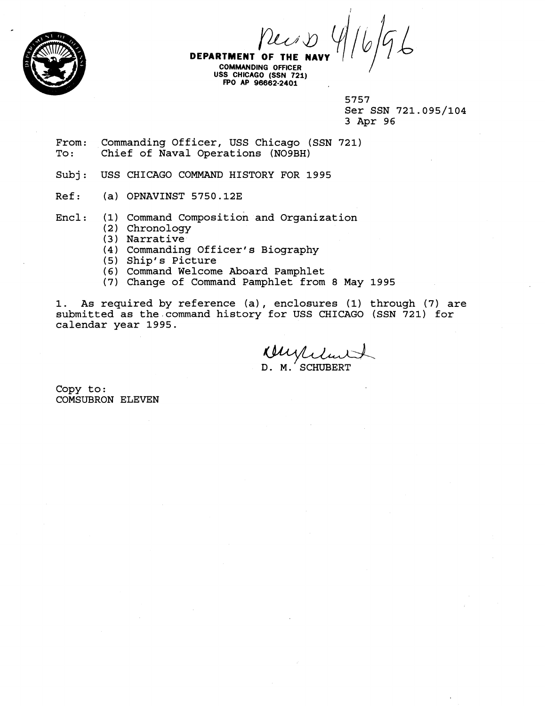

**DEPARTMENT OF THE NAV** 

**COMMANblNG OFFICER**  USS CHICAGO (SSN 721) **FPO AP 96662-2401** 

> 5757 Ser SSN 721.095/104 3 Apr 96

From: Commanding Officer, USS Chicago (SSN 721)<br>To: Chief of Naval Operations (NO9BH) Chief of Naval Operations (NO9BH)

Subj: USS CHICAGO COMMAND HISTORY FOR 1995

- Ref: (a) OPNAVINST 5750.12E
- Encl: (1) Command composition and Organization
	- (2) Chronology
	- **(3)** Narrative
	- (4) Commanding Officer's Biography
	- (5) Ship's Picture
	- (6) Command Welcome Aboard Pamphlet
	- (7) Change of Command Pamphlet from 8 May 1995

1. As required by reference (a) , enclosures (1) through (7) are submitted as the.command history for USS CHICAGO (SSN 721) for calendar year 1995.

Wuxliter D. M. SCHUBERT

Copy to : COMSUBRON ELEVEN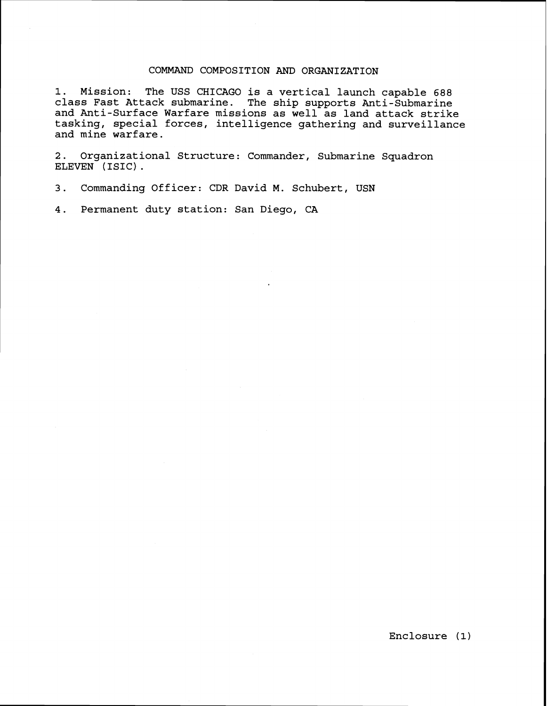## COMMAND COMPOSITION AND ORGANIZATION

1. Mission: The USS CHICAGO is a vertical launch capable 688 class Fast Attack submarine. The ship supports Anti-Submarine and Anti-Surface Warfare missions as well as land attack strike tasking, special forces, intelligence gathering and surveillance and mine warfare.

2. Organizational Structure: Commander, Submarine Squadron ELEVEN (ISIC) .

3. Commanding Officer: CDR David M. Schubert, USN

4. Permanent duty station: San Diego, **CA**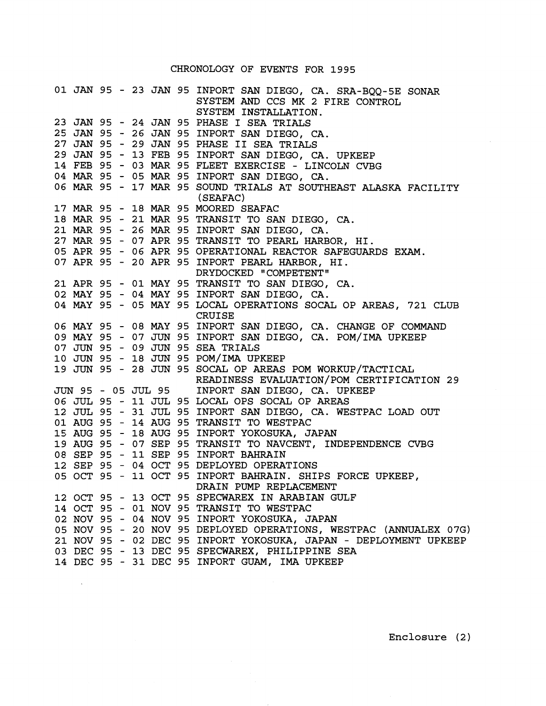## CHRONOLOGY OF EVENTS FOR **1995**

|  |  |  | 01 JAN 95 - 23 JAN 95 INPORT SAN DIEGO, CA. SRA-BQQ-5E SONAR<br>SYSTEM AND CCS MK 2 FIRE CONTROL<br>SYSTEM INSTALLATION. |
|--|--|--|--------------------------------------------------------------------------------------------------------------------------|
|  |  |  | 23 JAN 95 - 24 JAN 95 PHASE I SEA TRIALS                                                                                 |
|  |  |  | 25 JAN 95 - 26 JAN 95 INPORT SAN DIEGO, CA.                                                                              |
|  |  |  | 27 JAN 95 - 29 JAN 95 PHASE II SEA TRIALS                                                                                |
|  |  |  | 29 JAN 95 - 13 FEB 95 INPORT SAN DIEGO, CA. UPKEEP                                                                       |
|  |  |  | 14 FEB 95 - 03 MAR 95 FLEET EXERCISE - LINCOLN CVBG                                                                      |
|  |  |  | 04 MAR 95 - 05 MAR 95 INPORT SAN DIEGO, CA.                                                                              |
|  |  |  | 06 MAR 95 - 17 MAR 95 SOUND TRIALS AT SOUTHEAST ALASKA FACILITY                                                          |
|  |  |  | (SEAFAC)                                                                                                                 |
|  |  |  | 17 MAR 95 - 18 MAR 95 MOORED SEAFAC                                                                                      |
|  |  |  | 18 MAR 95 - 21 MAR 95 TRANSIT TO SAN DIEGO, CA.                                                                          |
|  |  |  | 21 MAR 95 - 26 MAR 95 INPORT SAN DIEGO, CA.                                                                              |
|  |  |  | 27 MAR 95 - 07 APR 95 TRANSIT TO PEARL HARBOR, HI.                                                                       |
|  |  |  | 05 APR 95 - 06 APR 95 OPERATIONAL REACTOR SAFEGUARDS EXAM.                                                               |
|  |  |  | 07 APR 95 - 20 APR 95 INPORT PEARL HARBOR, HI.                                                                           |
|  |  |  | DRYDOCKED "COMPETENT"                                                                                                    |
|  |  |  | 21 APR 95 - 01 MAY 95 TRANSIT TO SAN DIEGO, CA.                                                                          |
|  |  |  | 02 MAY 95 - 04 MAY 95 INPORT SAN DIEGO, CA.                                                                              |
|  |  |  | 04 MAY 95 - 05 MAY 95 LOCAL OPERATIONS SOCAL OP AREAS, 721 CLUB                                                          |
|  |  |  | <b>CRUISE</b>                                                                                                            |
|  |  |  | 06 MAY 95 - 08 MAY 95 INPORT SAN DIEGO, CA. CHANGE OF COMMAND                                                            |
|  |  |  | 09 MAY 95 - 07 JUN 95 INPORT SAN DIEGO, CA. POM/IMA UPKEEP                                                               |
|  |  |  | 07 JUN 95 - 09 JUN 95 SEA TRIALS                                                                                         |
|  |  |  | 10 JUN 95 - 18 JUN 95 POM/IMA UPKEEP                                                                                     |
|  |  |  | 19 JUN 95 - 28 JUN 95 SOCAL OP AREAS POM WORKUP/TACTICAL                                                                 |
|  |  |  | READINESS EVALUATION/POM CERTIFICATION 29                                                                                |
|  |  |  | JUN 95 - 05 JUL 95 INPORT SAN DIEGO, CA. UPKEEP                                                                          |
|  |  |  | 06 JUL 95 - 11 JUL 95 LOCAL OPS SOCAL OP AREAS                                                                           |
|  |  |  | 12 JUL 95 - 31 JUL 95 INPORT SAN DIEGO, CA. WESTPAC LOAD OUT                                                             |
|  |  |  | 01 AUG 95 - 14 AUG 95 TRANSIT TO WESTPAC                                                                                 |
|  |  |  | 15 AUG 95 - 18 AUG 95 INPORT YOKOSUKA, JAPAN                                                                             |
|  |  |  | 19 AUG 95 - 07 SEP 95 TRANSIT TO NAVCENT, INDEPENDENCE CVBG                                                              |
|  |  |  | 08 SEP 95 - 11 SEP 95 INPORT BAHRAIN                                                                                     |
|  |  |  | 12 SEP 95 - 04 OCT 95 DEPLOYED OPERATIONS                                                                                |
|  |  |  | 05 OCT 95 - 11 OCT 95 INPORT BAHRAIN. SHIPS FORCE UPKEEP,                                                                |
|  |  |  | DRAIN PUMP REPLACEMENT                                                                                                   |
|  |  |  | 12 OCT 95 - 13 OCT 95 SPECWAREX IN ARABIAN GULF                                                                          |
|  |  |  | 14 OCT 95 - 01 NOV 95 TRANSIT TO WESTPAC                                                                                 |
|  |  |  | 02 NOV 95 - 04 NOV 95 INPORT YOKOSUKA, JAPAN                                                                             |
|  |  |  | 05 NOV 95 - 20 NOV 95 DEPLOYED OPERATIONS, WESTPAC (ANNUALEX 07G)                                                        |
|  |  |  | 21 NOV 95 - 02 DEC 95 INPORT YOKOSUKA, JAPAN - DEPLOYMENT UPKEEP                                                         |
|  |  |  | 03 DEC 95 - 13 DEC 95 SPECWAREX, PHILIPPINE SEA                                                                          |
|  |  |  | 14 DEC 95 - 31 DEC 95 INPORT GUAM, IMA UPKEEP                                                                            |

 $\sim 10^{11}$ 

Enclosure **(2** )